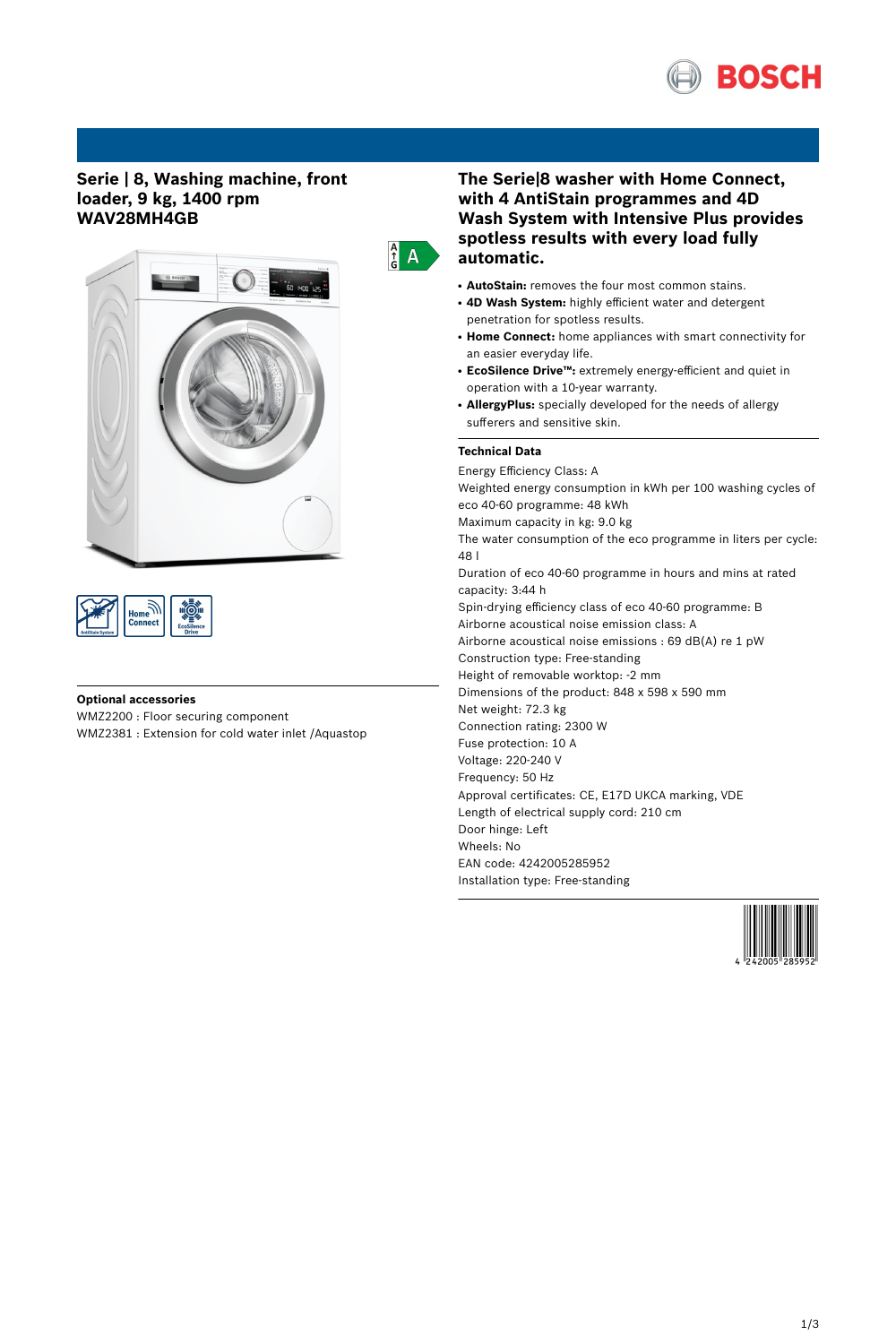

## **Serie | 8, Washing machine, front loader, 9 kg, 1400 rpm WAV28MH4GB**





### **Optional accessories**

WMZ2200 : Floor securing component WMZ2381 : Extension for cold water inlet /Aquastop

# **The Serie|8 washer with Home Connect, with 4 AntiStain programmes and 4D Wash System with Intensive Plus provides spotless results with every load fully automatic.**

- **AutoStain:** removes the four most common stains.
- **4D Wash System:** highly efficient water and detergent penetration for spotless results.
- **Home Connect:** home appliances with smart connectivity for an easier everyday life.
- **EcoSilence Drive™:** extremely energy-efficient and quiet in operation with a 10-year warranty.
- AllergyPlus: specially developed for the needs of allergy sufferers and sensitive skin.

# **Technical Data**

 $\frac{A}{G}$  A

Energy Efficiency Class: A Weighted energy consumption in kWh per 100 washing cycles of eco 40-60 programme: 48 kWh Maximum capacity in kg: 9.0 kg The water consumption of the eco programme in liters per cycle: 48 l Duration of eco 40-60 programme in hours and mins at rated capacity: 3:44 h Spin-drying efficiency class of eco 40-60 programme: B Airborne acoustical noise emission class: A Airborne acoustical noise emissions : 69 dB(A) re 1 pW Construction type: Free-standing Height of removable worktop: -2 mm Dimensions of the product: 848 x 598 x 590 mm Net weight: 72.3 kg Connection rating: 2300 W Fuse protection: 10 A Voltage: 220-240 V Frequency: 50 Hz Approval certificates: CE, E17D UKCA marking, VDE Length of electrical supply cord: 210 cm Door hinge: Left Wheels: No EAN code: 4242005285952 Installation type: Free-standing

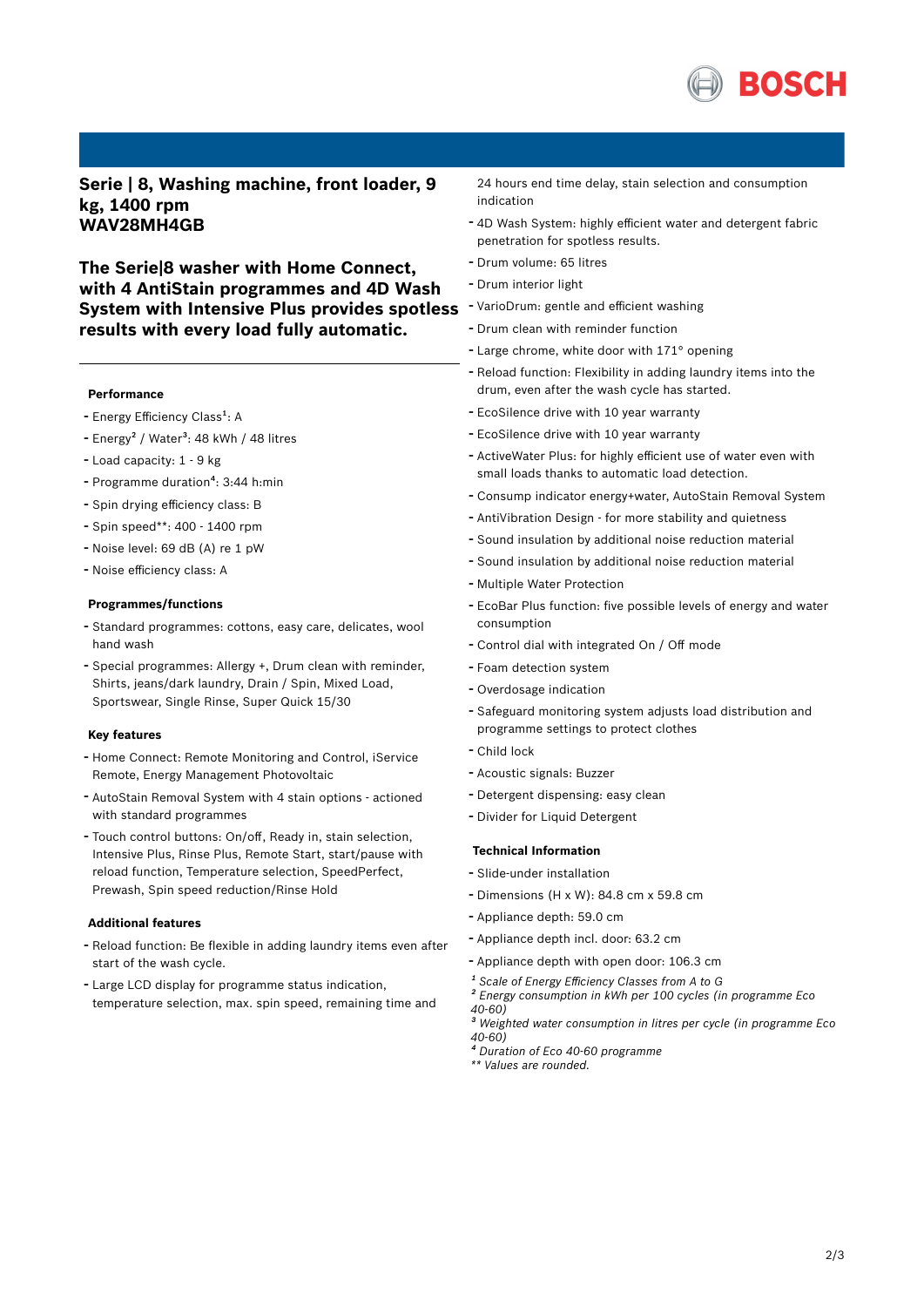

**Serie | 8, Washing machine, front loader, 9 kg, 1400 rpm WAV28MH4GB**

**The Serie|8 washer with Home Connect, with 4 AntiStain programmes and 4D Wash System with Intensive Plus provides spotless results with every load fully automatic.**

#### **Performance**

- Energy Efficiency Class<sup>1</sup>: A
- Energy<sup>2</sup> / Water<sup>3</sup>: 48 kWh / 48 litres
- Load capacity: <sup>1</sup> <sup>9</sup> kg
- Programme duration<sup>4</sup>: 3:44 h:min
- Spin drying efficiency class: <sup>B</sup>
- Spin speed\*\*: <sup>400</sup> <sup>1400</sup> rpm
- Noise level: <sup>69</sup> dB (A) re <sup>1</sup> pW
- Noise efficiency class: <sup>A</sup>

#### **Programmes/functions**

- Standard programmes: cottons, easy care, delicates, wool hand wash
- Special programmes: Allergy +, Drum clean with reminder, Shirts, jeans/dark laundry, Drain / Spin, Mixed Load, Sportswear, Single Rinse, Super Quick 15/30

#### **Key features**

- Home Connect: Remote Monitoring and Control, iService Remote, Energy Management Photovoltaic
- AutoStain Removal System with <sup>4</sup> stain options actioned with standard programmes
- Touch control buttons: On/off, Ready in, stain selection, Intensive Plus, Rinse Plus, Remote Start, start/pause with reload function, Temperature selection, SpeedPerfect, Prewash, Spin speed reduction/Rinse Hold

### **Additional features**

- Reload function: Be flexible in adding laundry items even after start of the wash cycle.
- Large LCD display for programme status indication, temperature selection, max. spin speed, remaining time and

24 hours end time delay, stain selection and consumption indication

- 4D Wash System: highly efficient water and detergent fabric penetration for spotless results.
- Drum volume: <sup>65</sup> litres
- Drum interior light
- VarioDrum: gentle and efficient washing
- Drum clean with reminder function
- Large chrome, white door with 171° opening
- Reload function: Flexibility in adding laundry items into the drum, even after the wash cycle has started.
- EcoSilence drive with <sup>10</sup> year warranty
- EcoSilence drive with <sup>10</sup> year warranty
- ActiveWater Plus: for highly efficient use of water even with small loads thanks to automatic load detection.
- Consump indicator energy+water, AutoStain Removal System
- AntiVibration Design for more stability and quietness
- Sound insulation by additional noise reduction material
- Sound insulation by additional noise reduction material
- Multiple Water Protection
- EcoBar Plus function: five possible levels of energy and water consumption
- Control dial with integrated On / Off mode
- Foam detection system
- Overdosage indication
- Safeguard monitoring system adjusts load distribution and programme settings to protect clothes
- Child lock
- Acoustic signals: Buzzer
- Detergent dispensing: easy clean
- Divider for Liquid Detergent

### **Technical Information**

- Slide-under installation
- Dimensions (H x W): 84.8 cm x 59.8 cm
- Appliance depth: 59.0 cm
- Appliance depth incl. door: 63.2 cm
- Appliance depth with open door: 106.3 cm
- *¹ Scale of Energy Efficiency Classes from A to G*
- *² Energy consumption in kWh per 100 cycles (in programme Eco 40-60)*
- *³ Weighted water consumption in litres per cycle (in programme Eco 40-60)*
- *⁴ Duration of Eco 40-60 programme*
- *\*\* Values are rounded.*